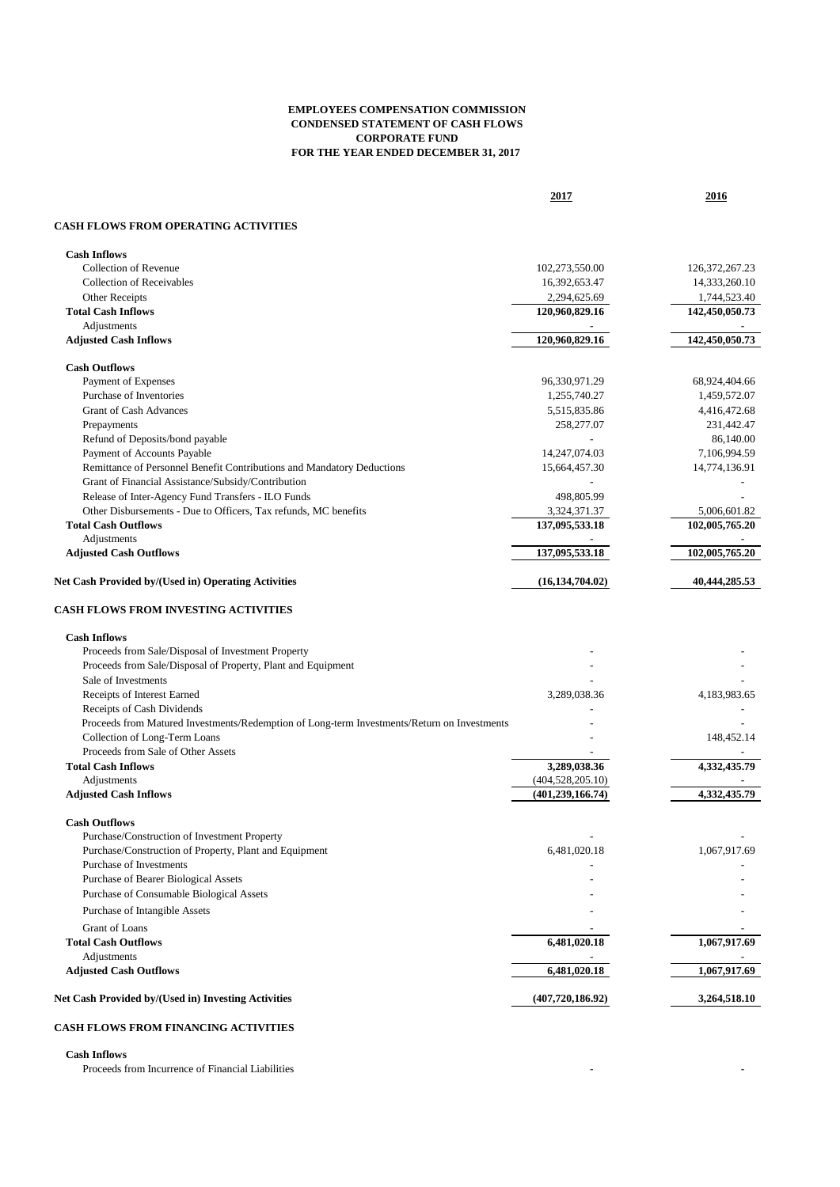## **EMPLOYEES COMPENSATION COMMISSION CONDENSED STATEMENT OF CASH FLOWS CORPORATE FUND FOR THE YEAR ENDED DECEMBER 31, 2017**

**2017 2016**

## **CASH FLOWS FROM OPERATING ACTIVITIES**

| <b>Cash Inflows</b>                                                                         |                    |                   |
|---------------------------------------------------------------------------------------------|--------------------|-------------------|
| Collection of Revenue                                                                       | 102,273,550.00     | 126, 372, 267. 23 |
| <b>Collection of Receivables</b>                                                            | 16,392,653.47      | 14,333,260.10     |
| Other Receipts                                                                              | 2,294,625.69       | 1,744,523.40      |
| <b>Total Cash Inflows</b>                                                                   | 120,960,829.16     | 142,450,050.73    |
| Adjustments                                                                                 |                    |                   |
| <b>Adjusted Cash Inflows</b>                                                                | 120,960,829.16     | 142,450,050.73    |
| <b>Cash Outflows</b>                                                                        |                    |                   |
| Payment of Expenses                                                                         | 96,330,971.29      | 68,924,404.66     |
| Purchase of Inventories                                                                     | 1,255,740.27       | 1,459,572.07      |
| <b>Grant of Cash Advances</b>                                                               | 5,515,835.86       | 4,416,472.68      |
| Prepayments                                                                                 | 258,277.07         | 231,442.47        |
| Refund of Deposits/bond payable                                                             |                    | 86,140.00         |
| Payment of Accounts Payable                                                                 | 14,247,074.03      | 7,106,994.59      |
| Remittance of Personnel Benefit Contributions and Mandatory Deductions                      | 15,664,457.30      | 14,774,136.91     |
| Grant of Financial Assistance/Subsidy/Contribution                                          |                    |                   |
| Release of Inter-Agency Fund Transfers - ILO Funds                                          | 498,805.99         |                   |
| Other Disbursements - Due to Officers, Tax refunds, MC benefits                             | 3,324,371.37       | 5,006,601.82      |
| <b>Total Cash Outflows</b>                                                                  | 137,095,533.18     | 102,005,765.20    |
| Adjustments                                                                                 |                    |                   |
| <b>Adjusted Cash Outflows</b>                                                               | 137,095,533.18     | 102,005,765.20    |
| Net Cash Provided by/(Used in) Operating Activities                                         | (16, 134, 704.02)  | 40,444,285.53     |
| <b>CASH FLOWS FROM INVESTING ACTIVITIES</b>                                                 |                    |                   |
|                                                                                             |                    |                   |
| <b>Cash Inflows</b>                                                                         |                    |                   |
| Proceeds from Sale/Disposal of Investment Property                                          |                    |                   |
| Proceeds from Sale/Disposal of Property, Plant and Equipment                                |                    |                   |
| Sale of Investments                                                                         |                    |                   |
| Receipts of Interest Earned                                                                 | 3,289,038.36       | 4,183,983.65      |
| Receipts of Cash Dividends                                                                  |                    |                   |
| Proceeds from Matured Investments/Redemption of Long-term Investments/Return on Investments |                    |                   |
| Collection of Long-Term Loans                                                               |                    | 148,452.14        |
| Proceeds from Sale of Other Assets                                                          |                    |                   |
| <b>Total Cash Inflows</b>                                                                   | 3,289,038.36       | 4,332,435.79      |
| Adjustments                                                                                 | (404, 528, 205.10) |                   |
| <b>Adjusted Cash Inflows</b>                                                                | (401, 239, 166.74) | 4.332,435.79      |
| <b>Cash Outflows</b>                                                                        |                    |                   |
| Purchase/Construction of Investment Property                                                |                    |                   |
| Purchase/Construction of Property, Plant and Equipment                                      | 6,481,020.18       | 1,067,917.69      |
| Purchase of Investments                                                                     |                    |                   |
| Purchase of Bearer Biological Assets                                                        |                    |                   |
| Purchase of Consumable Biological Assets                                                    |                    |                   |
| Purchase of Intangible Assets                                                               |                    |                   |
| Grant of Loans                                                                              |                    |                   |
| <b>Total Cash Outflows</b>                                                                  | 6,481,020.18       | 1,067,917.69      |
| Adjustments                                                                                 |                    |                   |
| <b>Adjusted Cash Outflows</b>                                                               | 6,481,020.18       | 1,067,917.69      |
| Net Cash Provided by/(Used in) Investing Activities                                         | (407, 720, 186.92) | 3,264,518.10      |
|                                                                                             |                    |                   |
| <b>CASH FLOWS FROM FINANCING ACTIVITIES</b>                                                 |                    |                   |

**Cash Inflows**

Proceeds from Incurrence of Financial Liabilities - -